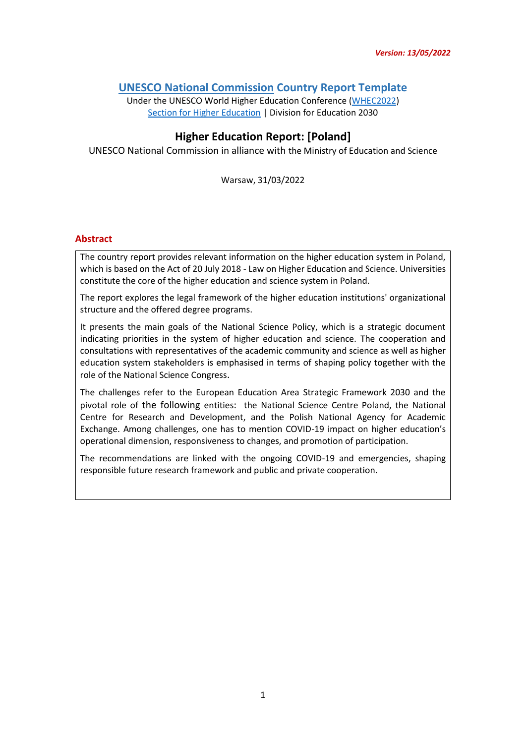# **[UNESCO National Commission](https://en.unesco.org/countries/national-commissions) Country Report Template**

Under the UNESCO World Higher Education Conference [\(WHEC2022\)](https://en.unesco.org/news/unesco-world-higher-education-conference-2022) [Section for Higher Education](https://en.unesco.org/themes/higher-education) | Division for Education 2030

# **Higher Education Report: [Poland]**

UNESCO National Commission in alliance with the Ministry of Education and Science

Warsaw, 31/03/2022

# <span id="page-0-0"></span>**Abstract**

The country report provides relevant information on the higher education system in Poland, which is based on the Act of 20 July 2018 - Law on Higher Education and Science. Universities constitute the core of the higher education and science system in Poland.

The report explores the legal framework of the higher education institutions' organizational structure and the offered degree programs.

It presents the main goals of the National Science Policy, which is a strategic document indicating priorities in the system of higher education and science. The cooperation and consultations with representatives of the academic community and science as well as higher education system stakeholders is emphasised in terms of shaping policy together with the role of the National Science Congress.

The challenges refer to the European Education Area Strategic Framework 2030 and the pivotal role of the following entities: the National Science Centre Poland, the National Centre for Research and Development, and the Polish National Agency for Academic Exchange. Among challenges, one has to mention COVID-19 impact on higher education's operational dimension, responsiveness to changes, and promotion of participation.

The recommendations are linked with the ongoing COVID-19 and emergencies, shaping responsible future research framework and public and private cooperation.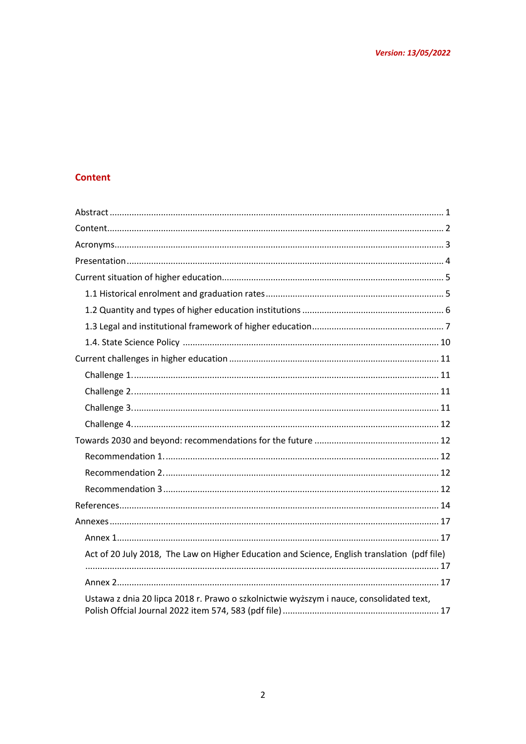# <span id="page-1-0"></span>**Content**

| Act of 20 July 2018, The Law on Higher Education and Science, English translation (pdf file) |
|----------------------------------------------------------------------------------------------|
|                                                                                              |
| Ustawa z dnia 20 lipca 2018 r. Prawo o szkolnictwie wyższym i nauce, consolidated text,      |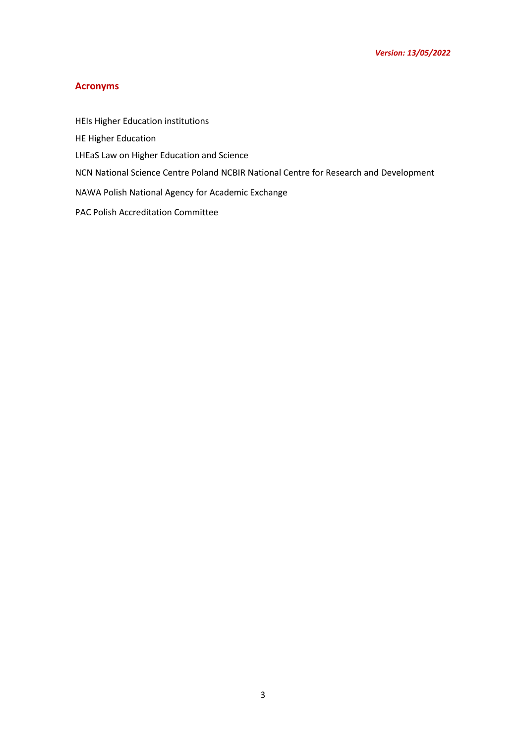# <span id="page-2-0"></span>**Acronyms**

HEIs Higher Education institutions

- HE Higher Education
- LHEaS Law on Higher Education and Science
- NCN National Science Centre Poland NCBIR National Centre for Research and Development

# NAWA Polish National Agency for Academic Exchange

PAC Polish Accreditation Committee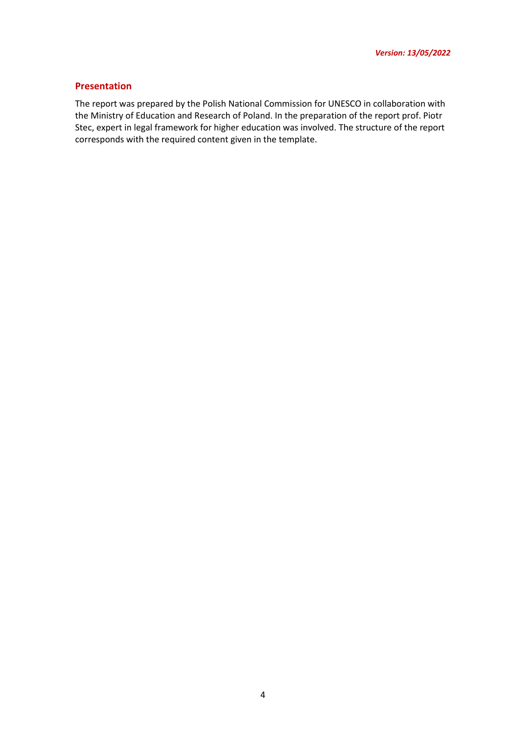## <span id="page-3-0"></span>**Presentation**

The report was prepared by the Polish National Commission for UNESCO in collaboration with the Ministry of Education and Research of Poland. In the preparation of the report prof. Piotr Stec, expert in legal framework for higher education was involved. The structure of the report corresponds with the required content given in the template.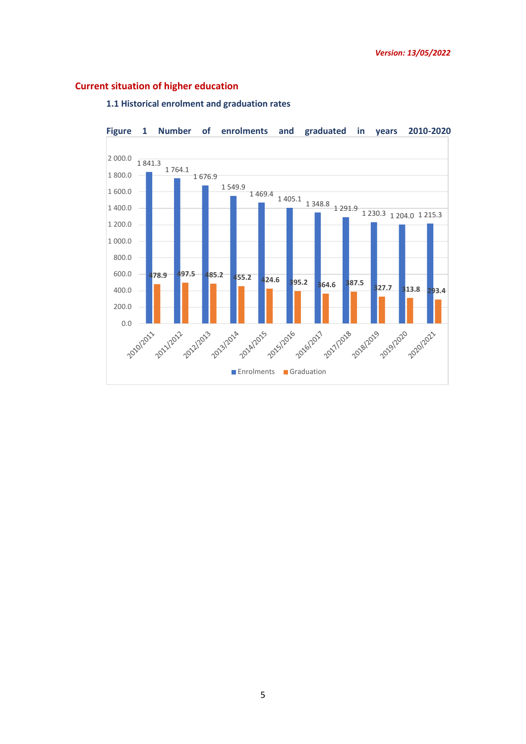# <span id="page-4-1"></span><span id="page-4-0"></span>**Current situation of higher education**



## **1.1 Historical enrolment and graduation rates**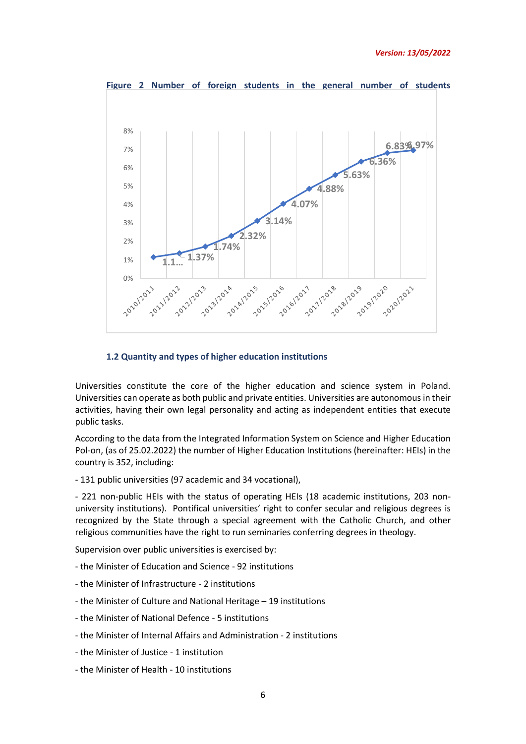

**Figure 2 Number of foreign students in the general number of students**

#### **1.2 Quantity and types of higher education institutions**

<span id="page-5-0"></span>Universities constitute the core of the higher education and science system in Poland. Universities can operate as both public and private entities. Universities are autonomous in their activities, having their own legal personality and acting as independent entities that execute public tasks.

According to the data from the Integrated Information System on Science and Higher Education Pol-on, (as of 25.02.2022) the number of Higher Education Institutions (hereinafter: HEIs) in the country is 352, including:

- 131 public universities (97 academic and 34 vocational),

- 221 non-public HEIs with the status of operating HEIs (18 academic institutions, 203 nonuniversity institutions). Pontifical universities' right to confer secular and religious degrees is recognized by the State through a special agreement with the Catholic Church, and other religious communities have the right to run seminaries conferring degrees in theology.

Supervision over public universities is exercised by:

- the Minister of Education and Science 92 institutions
- the Minister of Infrastructure 2 institutions
- the Minister of Culture and National Heritage 19 institutions
- the Minister of National Defence 5 institutions
- the Minister of Internal Affairs and Administration 2 institutions
- the Minister of Justice 1 institution
- the Minister of Health 10 institutions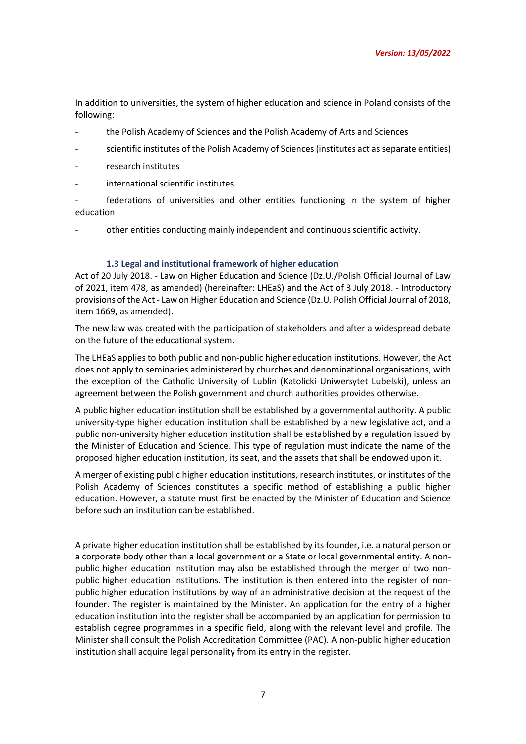In addition to universities, the system of higher education and science in Poland consists of the following:

- the Polish Academy of Sciences and the Polish Academy of Arts and Sciences
- scientific institutes of the Polish Academy of Sciences (institutes act as separate entities)
- research institutes
- international scientific institutes

federations of universities and other entities functioning in the system of higher education

other entities conducting mainly independent and continuous scientific activity.

# **1.3 Legal and institutional framework of higher education**

<span id="page-6-0"></span>Act of 20 July 2018. - Law on Higher Education and Science (Dz.U./Polish Official Journal of Law of 2021, item 478, as amended) (hereinafter: LHEaS) and the Act of 3 July 2018. - Introductory provisions of the Act - Law on Higher Education and Science (Dz.U. Polish Official Journal of 2018, item 1669, as amended).

The new law was created with the participation of stakeholders and after a widespread debate on the future of the educational system.

The LHEaS applies to both public and non-public higher education institutions. However, the Act does not apply to seminaries administered by churches and denominational organisations, with the exception of the Catholic University of Lublin (Katolicki Uniwersytet Lubelski), unless an agreement between the Polish government and church authorities provides otherwise.

A public higher education institution shall be established by a governmental authority. A public university-type higher education institution shall be established by a new legislative act, and a public non-university higher education institution shall be established by a regulation issued by the Minister of Education and Science. This type of regulation must indicate the name of the proposed higher education institution, its seat, and the assets that shall be endowed upon it.

A merger of existing public higher education institutions, research institutes, or institutes of the Polish Academy of Sciences constitutes a specific method of establishing a public higher education. However, a statute must first be enacted by the Minister of Education and Science before such an institution can be established.

A private higher education institution shall be established by its founder, i.e. a natural person or a corporate body other than a local government or a State or local governmental entity. A nonpublic higher education institution may also be established through the merger of two nonpublic higher education institutions. The institution is then entered into the register of nonpublic higher education institutions by way of an administrative decision at the request of the founder. The register is maintained by the Minister. An application for the entry of a higher education institution into the register shall be accompanied by an application for permission to establish degree programmes in a specific field, along with the relevant level and profile. The Minister shall consult the Polish Accreditation Committee (PAC). A non-public higher education institution shall acquire legal personality from its entry in the register.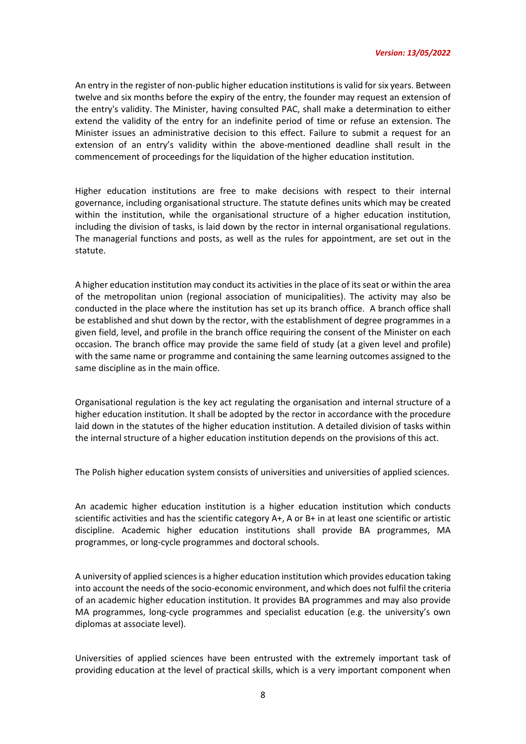An entry in the register of non-public higher education institutions is valid for six years. Between twelve and six months before the expiry of the entry, the founder may request an extension of the entry's validity. The Minister, having consulted PAC, shall make a determination to either extend the validity of the entry for an indefinite period of time or refuse an extension. The Minister issues an administrative decision to this effect. Failure to submit a request for an extension of an entry's validity within the above-mentioned deadline shall result in the commencement of proceedings for the liquidation of the higher education institution.

Higher education institutions are free to make decisions with respect to their internal governance, including organisational structure. The statute defines units which may be created within the institution, while the organisational structure of a higher education institution, including the division of tasks, is laid down by the rector in internal organisational regulations. The managerial functions and posts, as well as the rules for appointment, are set out in the statute.

A higher education institution may conduct its activities in the place of its seat or within the area of the metropolitan union (regional association of municipalities). The activity may also be conducted in the place where the institution has set up its branch office. A branch office shall be established and shut down by the rector, with the establishment of degree programmes in a given field, level, and profile in the branch office requiring the consent of the Minister on each occasion. The branch office may provide the same field of study (at a given level and profile) with the same name or programme and containing the same learning outcomes assigned to the same discipline as in the main office.

Organisational regulation is the key act regulating the organisation and internal structure of a higher education institution. It shall be adopted by the rector in accordance with the procedure laid down in the statutes of the higher education institution. A detailed division of tasks within the internal structure of a higher education institution depends on the provisions of this act.

The Polish higher education system consists of universities and universities of applied sciences.

An academic higher education institution is a higher education institution which conducts scientific activities and has the scientific category A+, A or B+ in at least one scientific or artistic discipline. Academic higher education institutions shall provide BA programmes, MA programmes, or long-cycle programmes and doctoral schools.

A university of applied sciences is a higher education institution which provides education taking into account the needs of the socio-economic environment, and which does not fulfil the criteria of an academic higher education institution. It provides BA programmes and may also provide MA programmes, long-cycle programmes and specialist education (e.g. the university's own diplomas at associate level).

Universities of applied sciences have been entrusted with the extremely important task of providing education at the level of practical skills, which is a very important component when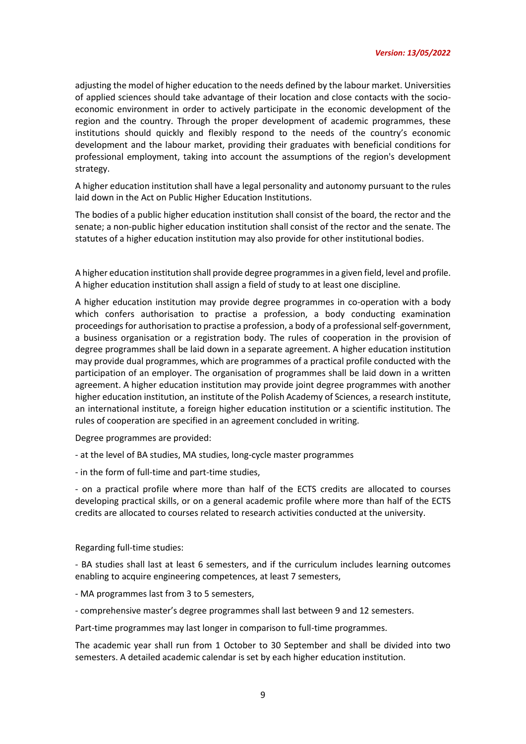adjusting the model of higher education to the needs defined by the labour market. Universities of applied sciences should take advantage of their location and close contacts with the socioeconomic environment in order to actively participate in the economic development of the region and the country. Through the proper development of academic programmes, these institutions should quickly and flexibly respond to the needs of the country's economic development and the labour market, providing their graduates with beneficial conditions for professional employment, taking into account the assumptions of the region's development strategy.

A higher education institution shall have a legal personality and autonomy pursuant to the rules laid down in the Act on Public Higher Education Institutions.

The bodies of a public higher education institution shall consist of the board, the rector and the senate; a non-public higher education institution shall consist of the rector and the senate. The statutes of a higher education institution may also provide for other institutional bodies.

A higher education institution shall provide degree programmes in a given field, level and profile. A higher education institution shall assign a field of study to at least one discipline.

A higher education institution may provide degree programmes in co-operation with a body which confers authorisation to practise a profession, a body conducting examination proceedings for authorisation to practise a profession, a body of a professional self-government, a business organisation or a registration body. The rules of cooperation in the provision of degree programmes shall be laid down in a separate agreement. A higher education institution may provide dual programmes, which are programmes of a practical profile conducted with the participation of an employer. The organisation of programmes shall be laid down in a written agreement. A higher education institution may provide joint degree programmes with another higher education institution, an institute of the Polish Academy of Sciences, a research institute, an international institute, a foreign higher education institution or a scientific institution. The rules of cooperation are specified in an agreement concluded in writing.

Degree programmes are provided:

- at the level of BA studies, MA studies, long-cycle master programmes

- in the form of full-time and part-time studies,

- on a practical profile where more than half of the ECTS credits are allocated to courses developing practical skills, or on a general academic profile where more than half of the ECTS credits are allocated to courses related to research activities conducted at the university.

Regarding full-time studies:

- BA studies shall last at least 6 semesters, and if the curriculum includes learning outcomes enabling to acquire engineering competences, at least 7 semesters,

- MA programmes last from 3 to 5 semesters,

- comprehensive master's degree programmes shall last between 9 and 12 semesters.

Part-time programmes may last longer in comparison to full-time programmes.

The academic year shall run from 1 October to 30 September and shall be divided into two semesters. A detailed academic calendar is set by each higher education institution.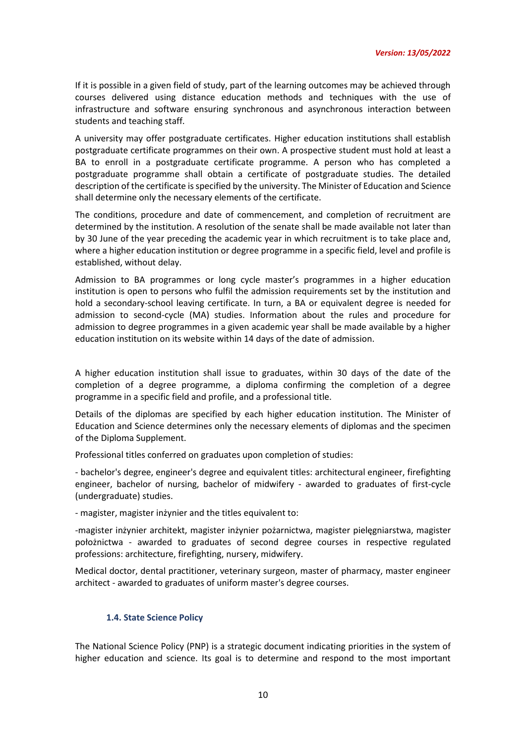If it is possible in a given field of study, part of the learning outcomes may be achieved through courses delivered using distance education methods and techniques with the use of infrastructure and software ensuring synchronous and asynchronous interaction between students and teaching staff.

A university may offer postgraduate certificates. Higher education institutions shall establish postgraduate certificate programmes on their own. A prospective student must hold at least a BA to enroll in a postgraduate certificate programme. A person who has completed a postgraduate programme shall obtain a certificate of postgraduate studies. The detailed description of the certificate is specified by the university. The Minister of Education and Science shall determine only the necessary elements of the certificate.

The conditions, procedure and date of commencement, and completion of recruitment are determined by the institution. A resolution of the senate shall be made available not later than by 30 June of the year preceding the academic year in which recruitment is to take place and, where a higher education institution or degree programme in a specific field, level and profile is established, without delay.

Admission to BA programmes or long cycle master's programmes in a higher education institution is open to persons who fulfil the admission requirements set by the institution and hold a secondary-school leaving certificate. In turn, a BA or equivalent degree is needed for admission to second-cycle (MA) studies. Information about the rules and procedure for admission to degree programmes in a given academic year shall be made available by a higher education institution on its website within 14 days of the date of admission.

A higher education institution shall issue to graduates, within 30 days of the date of the completion of a degree programme, a diploma confirming the completion of a degree programme in a specific field and profile, and a professional title.

Details of the diplomas are specified by each higher education institution. The Minister of Education and Science determines only the necessary elements of diplomas and the specimen of the Diploma Supplement.

Professional titles conferred on graduates upon completion of studies:

- bachelor's degree, engineer's degree and equivalent titles: architectural engineer, firefighting engineer, bachelor of nursing, bachelor of midwifery - awarded to graduates of first-cycle (undergraduate) studies.

- magister, magister inżynier and the titles equivalent to:

-magister inżynier architekt, magister inżynier pożarnictwa, magister pielęgniarstwa, magister położnictwa - awarded to graduates of second degree courses in respective regulated professions: architecture, firefighting, nursery, midwifery.

Medical doctor, dental practitioner, veterinary surgeon, master of pharmacy, master engineer architect - awarded to graduates of uniform master's degree courses.

## **1.4. State Science Policy**

<span id="page-9-0"></span>The National Science Policy (PNP) is a strategic document indicating priorities in the system of higher education and science. Its goal is to determine and respond to the most important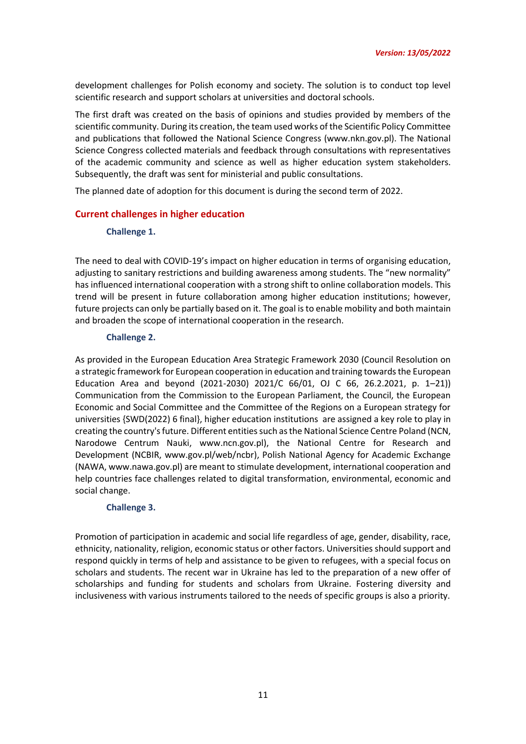development challenges for Polish economy and society. The solution is to conduct top level scientific research and support scholars at universities and doctoral schools.

The first draft was created on the basis of opinions and studies provided by members of the scientific community. During its creation, the team used works of the Scientific Policy Committee and publications that followed the National Science Congress (www.nkn.gov.pl). The National Science Congress collected materials and feedback through consultations with representatives of the academic community and science as well as higher education system stakeholders. Subsequently, the draft was sent for ministerial and public consultations.

The planned date of adoption for this document is during the second term of 2022.

# <span id="page-10-1"></span><span id="page-10-0"></span>**Current challenges in higher education**

## **Challenge 1.**

The need to deal with COVID-19's impact on higher education in terms of organising education, adjusting to sanitary restrictions and building awareness among students. The "new normality" has influenced international cooperation with a strong shift to online collaboration models. This trend will be present in future collaboration among higher education institutions; however, future projects can only be partially based on it. The goal is to enable mobility and both maintain and broaden the scope of international cooperation in the research.

#### **Challenge 2.**

<span id="page-10-2"></span>As provided in the European Education Area Strategic Framework 2030 (Council Resolution on a strategic framework for European cooperation in education and training towards the European Education Area and beyond (2021-2030) 2021/C 66/01, OJ C 66, 26.2.2021, p. 1–21)) Communication from the Commission to the European Parliament, the Council, the European Economic and Social Committee and the Committee of the Regions on a European strategy for universities {SWD(2022) 6 final}, higher education institutions are assigned a key role to play in creating the country's future. Different entities such as the National Science Centre Poland (NCN, Narodowe Centrum Nauki, www.ncn.gov.pl), the National Centre for Research and Development (NCBIR, www.gov.pl/web/ncbr), Polish National Agency for Academic Exchange (NAWA, www.nawa.gov.pl) are meant to stimulate development, international cooperation and help countries face challenges related to digital transformation, environmental, economic and social change.

## **Challenge 3.**

<span id="page-10-3"></span>Promotion of participation in academic and social life regardless of age, gender, disability, race, ethnicity, nationality, religion, economic status or other factors. Universities should support and respond quickly in terms of help and assistance to be given to refugees, with a special focus on scholars and students. The recent war in Ukraine has led to the preparation of a new offer of scholarships and funding for students and scholars from Ukraine. Fostering diversity and inclusiveness with various instruments tailored to the needs of specific groups is also a priority.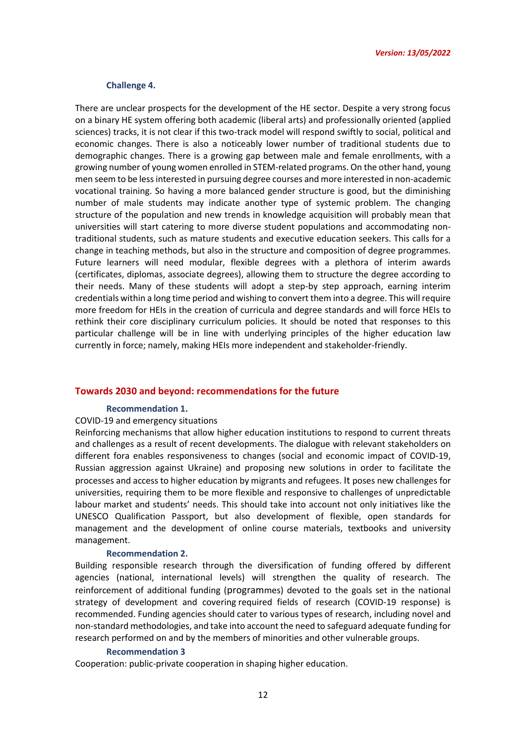#### **Challenge 4.**

<span id="page-11-0"></span>There are unclear prospects for the development of the HE sector. Despite a very strong focus on a binary HE system offering both academic (liberal arts) and professionally oriented (applied sciences) tracks, it is not clear if this two-track model will respond swiftly to social, political and economic changes. There is also a noticeably lower number of traditional students due to demographic changes. There is a growing gap between male and female enrollments, with a growing number of young women enrolled in STEM-related programs. On the other hand, young men seem to be less interested in pursuing degree courses and more interested in non-academic vocational training. So having a more balanced gender structure is good, but the diminishing number of male students may indicate another type of systemic problem. The changing structure of the population and new trends in knowledge acquisition will probably mean that universities will start catering to more diverse student populations and accommodating nontraditional students, such as mature students and executive education seekers. This calls for a change in teaching methods, but also in the structure and composition of degree programmes. Future learners will need modular, flexible degrees with a plethora of interim awards (certificates, diplomas, associate degrees), allowing them to structure the degree according to their needs. Many of these students will adopt a step-by step approach, earning interim credentials within a long time period and wishing to convert them into a degree. This will require more freedom for HEIs in the creation of curricula and degree standards and will force HEIs to rethink their core disciplinary curriculum policies. It should be noted that responses to this particular challenge will be in line with underlying principles of the higher education law currently in force; namely, making HEIs more independent and stakeholder-friendly.

#### <span id="page-11-1"></span>**Towards 2030 and beyond: recommendations for the future**

#### **Recommendation 1.**

#### <span id="page-11-2"></span>COVID-19 and emergency situations

Reinforcing mechanisms that allow higher education institutions to respond to current threats and challenges as a result of recent developments. The dialogue with relevant stakeholders on different fora enables responsiveness to changes (social and economic impact of COVID-19, Russian aggression against Ukraine) and proposing new solutions in order to facilitate the processes and access to higher education by migrants and refugees. It poses new challenges for universities, requiring them to be more flexible and responsive to challenges of unpredictable labour market and students' needs. This should take into account not only initiatives like the UNESCO Qualification Passport, but also development of flexible, open standards for management and the development of online course materials, textbooks and university management.

#### **Recommendation 2.**

<span id="page-11-3"></span>Building responsible research through the diversification of funding offered by different agencies (national, international levels) will strengthen the quality of research. The reinforcement of additional funding (programmes) devoted to the goals set in the national strategy of development and covering required fields of research (COVID-19 response) is recommended. Funding agencies should cater to various types of research, including novel and non-standard methodologies, and take into account the need to safeguard adequate funding for research performed on and by the members of minorities and other vulnerable groups.

#### **Recommendation 3**

<span id="page-11-4"></span>Cooperation: public-private cooperation in shaping higher education.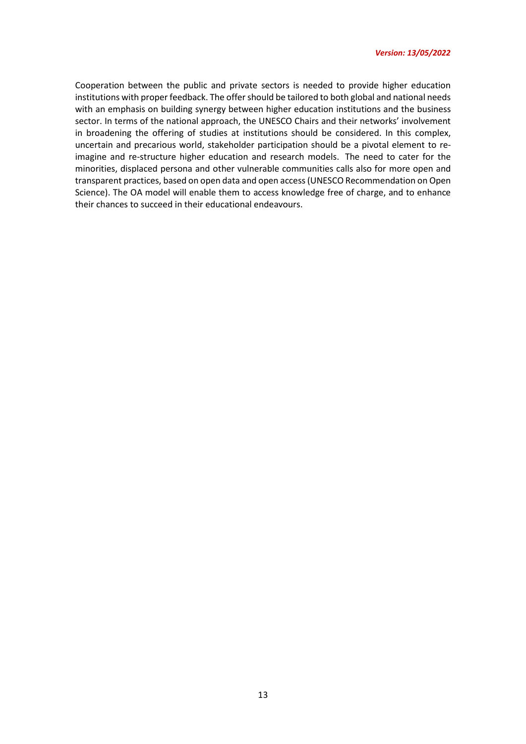Cooperation between the public and private sectors is needed to provide higher education institutions with proper feedback. The offer should be tailored to both global and national needs with an emphasis on building synergy between higher education institutions and the business sector. In terms of the national approach, the UNESCO Chairs and their networks' involvement in broadening the offering of studies at institutions should be considered. In this complex, uncertain and precarious world, stakeholder participation should be a pivotal element to reimagine and re-structure higher education and research models. The need to cater for the minorities, displaced persona and other vulnerable communities calls also for more open and transparent practices, based on open data and open access (UNESCO Recommendation on Open Science). The OA model will enable them to access knowledge free of charge, and to enhance their chances to succeed in their educational endeavours.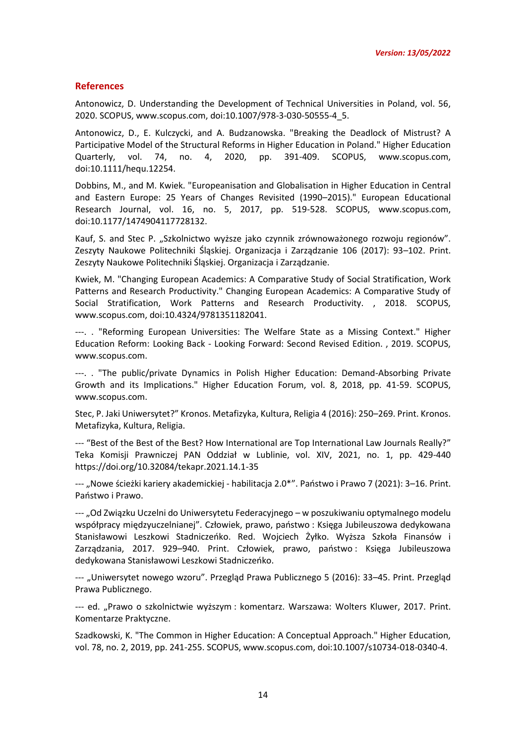# <span id="page-13-0"></span>**References**

Antonowicz, D. Understanding the Development of Technical Universities in Poland, vol. 56, 2020. SCOPUS, www.scopus.com, doi:10.1007/978-3-030-50555-4\_5.

Antonowicz, D., E. Kulczycki, and A. Budzanowska. "Breaking the Deadlock of Mistrust? A Participative Model of the Structural Reforms in Higher Education in Poland." Higher Education Quarterly, vol. 74, no. 4, 2020, pp. 391-409. SCOPUS, www.scopus.com, doi:10.1111/hequ.12254.

Dobbins, M., and M. Kwiek. "Europeanisation and Globalisation in Higher Education in Central and Eastern Europe: 25 Years of Changes Revisited (1990–2015)." European Educational Research Journal, vol. 16, no. 5, 2017, pp. 519-528. SCOPUS, www.scopus.com, doi:10.1177/1474904117728132.

Kauf, S. and Stec P. "Szkolnictwo wyższe jako czynnik zrównoważonego rozwoju regionów". Zeszyty Naukowe Politechniki Śląskiej. Organizacja i Zarządzanie 106 (2017): 93–102. Print. Zeszyty Naukowe Politechniki Śląskiej. Organizacja i Zarządzanie.

Kwiek, M. "Changing European Academics: A Comparative Study of Social Stratification, Work Patterns and Research Productivity." Changing European Academics: A Comparative Study of Social Stratification, Work Patterns and Research Productivity. , 2018. SCOPUS, www.scopus.com, doi:10.4324/9781351182041.

---. . "Reforming European Universities: The Welfare State as a Missing Context." Higher Education Reform: Looking Back - Looking Forward: Second Revised Edition. , 2019. SCOPUS, www.scopus.com.

---. . "The public/private Dynamics in Polish Higher Education: Demand-Absorbing Private Growth and its Implications." Higher Education Forum, vol. 8, 2018, pp. 41-59. SCOPUS, www.scopus.com.

Stec, P. Jaki Uniwersytet?" Kronos. Metafizyka, Kultura, Religia 4 (2016): 250–269. Print. Kronos. Metafizyka, Kultura, Religia.

--- "Best of the Best of the Best? How International are Top International Law Journals Really?" Teka Komisji Prawniczej PAN Oddział w Lublinie, vol. XIV, 2021, no. 1, pp. 429-440 https://doi.org/10.32084/tekapr.2021.14.1-35

--- "Nowe ścieżki kariery akademickiej - habilitacja 2.0\*". Państwo i Prawo 7 (2021): 3–16. Print. Państwo i Prawo.

--- "Od Związku Uczelni do Uniwersytetu Federacyjnego – w poszukiwaniu optymalnego modelu współpracy międzyuczelnianej". Człowiek, prawo, państwo : Księga Jubileuszowa dedykowana Stanisławowi Leszkowi Stadniczeńko. Red. Wojciech Żyłko. Wyższa Szkoła Finansów i Zarządzania, 2017. 929–940. Print. Człowiek, prawo, państwo : Księga Jubileuszowa dedykowana Stanisławowi Leszkowi Stadniczeńko.

--- "Uniwersytet nowego wzoru". Przegląd Prawa Publicznego 5 (2016): 33–45. Print. Przegląd Prawa Publicznego.

--- ed. "Prawo o szkolnictwie wyższym : komentarz. Warszawa: Wolters Kluwer, 2017. Print. Komentarze Praktyczne.

Szadkowski, K. "The Common in Higher Education: A Conceptual Approach." Higher Education, vol. 78, no. 2, 2019, pp. 241-255. SCOPUS, www.scopus.com, doi:10.1007/s10734-018-0340-4.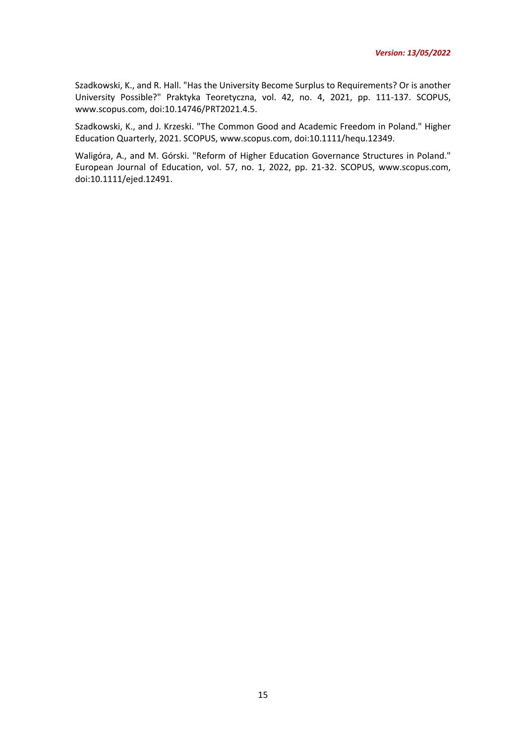Szadkowski, K., and R. Hall. "Has the University Become Surplus to Requirements? Or is another University Possible?" Praktyka Teoretyczna, vol. 42, no. 4, 2021, pp. 111-137. SCOPUS, www.scopus.com, doi:10.14746/PRT2021.4.5.

Szadkowski, K., and J. Krzeski. "The Common Good and Academic Freedom in Poland." Higher Education Quarterly, 2021. SCOPUS, www.scopus.com, doi:10.1111/hequ.12349.

Waligóra, A., and M. Górski. "Reform of Higher Education Governance Structures in Poland." European Journal of Education, vol. 57, no. 1, 2022, pp. 21-32. SCOPUS, www.scopus.com, doi:10.1111/ejed.12491.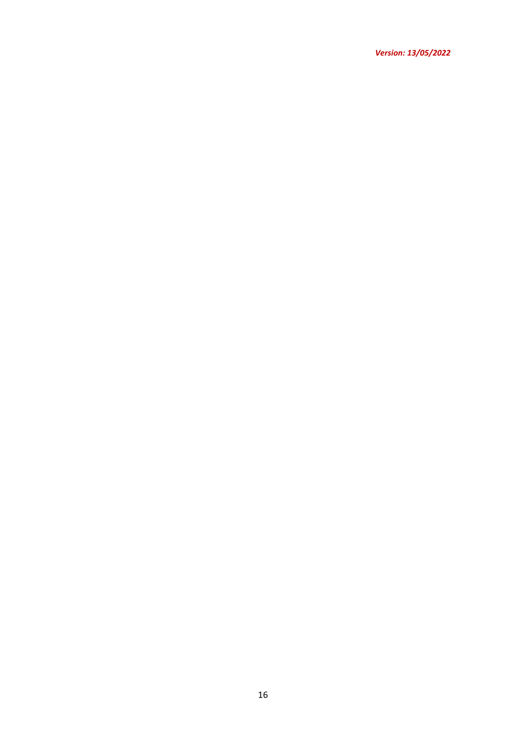*Version: 13/05/2022*